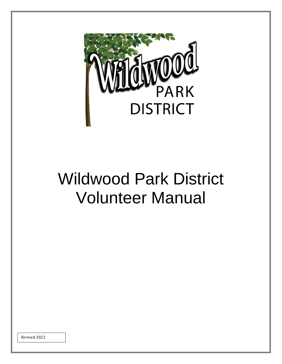

# Wildwood Park District Volunteer Manual

Revised 2022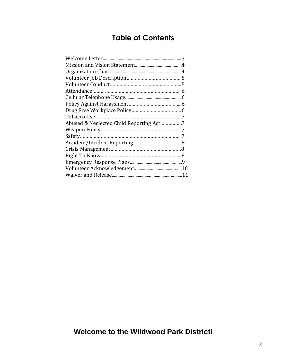# **Table of Contents**

| Abused & Neglected Child Reporting Act7 |  |
|-----------------------------------------|--|
|                                         |  |
|                                         |  |
|                                         |  |
|                                         |  |
|                                         |  |
|                                         |  |
|                                         |  |
|                                         |  |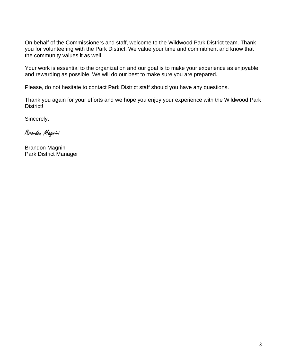On behalf of the Commissioners and staff, welcome to the Wildwood Park District team. Thank you for volunteering with the Park District. We value your time and commitment and know that the community values it as well.

Your work is essential to the organization and our goal is to make your experience as enjoyable and rewarding as possible. We will do our best to make sure you are prepared.

Please, do not hesitate to contact Park District staff should you have any questions.

Thank you again for your efforts and we hope you enjoy your experience with the Wildwood Park District!

Sincerely,

Brandon Magnini

Brandon Magnini Park District Manager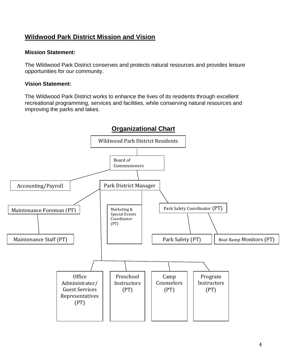# **Wildwood Park District Mission and Vision**

## **Mission Statement:**

The Wildwood Park District conserves and protects natural resources and provides leisure opportunities for our community.

## **Vision Statement:**

The Wildwood Park District works to enhance the lives of its residents through excellent recreational programming, services and facilities, while conserving natural resources and improving the parks and lakes.

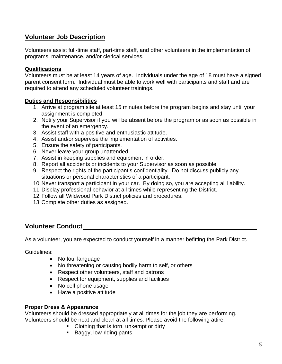# **Volunteer Job Description**

Volunteers assist full-time staff, part-time staff, and other volunteers in the implementation of programs, maintenance, and/or clerical services.

## **Qualifications**

Volunteers must be at least 14 years of age. Individuals under the age of 18 must have a signed parent consent form. Individual must be able to work well with participants and staff and are required to attend any scheduled volunteer trainings.

#### **Duties and Responsibilities**

- 1. Arrive at program site at least 15 minutes before the program begins and stay until your assignment is completed.
- 2. Notify your Supervisor if you will be absent before the program or as soon as possible in the event of an emergency.
- 3. Assist staff with a positive and enthusiastic attitude.
- 4. Assist and/or supervise the implementation of activities.
- 5. Ensure the safety of participants.
- 6. Never leave your group unattended.
- 7. Assist in keeping supplies and equipment in order.
- 8. Report all accidents or incidents to your Supervisor as soon as possible.
- 9. Respect the rights of the participant's confidentiality. Do not discuss publicly any situations or personal characteristics of a participant.
- 10.Never transport a participant in your car. By doing so, you are accepting all liability.
- 11.Display professional behavior at all times while representing the District.
- 12.Follow all Wildwood Park District policies and procedures.
- 13.Complete other duties as assigned.

# **Volunteer Conduct**

As a volunteer, you are expected to conduct yourself in a manner befitting the Park District.

Guidelines:

- No foul language
- No threatening or causing bodily harm to self, or others
- Respect other volunteers, staff and patrons
- Respect for equipment, supplies and facilities
- No cell phone usage
- Have a positive attitude

## **Proper Dress & Appearance**

Volunteers should be dressed appropriately at all times for the job they are performing. Volunteers should be neat and clean at all times. Please avoid the following attire:

- Clothing that is torn, unkempt or dirty
- Baggy, low-riding pants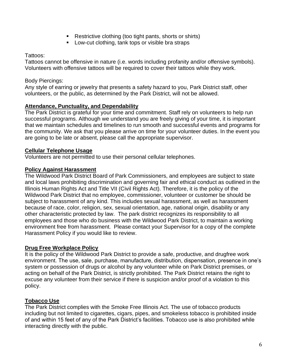- Restrictive clothing (too tight pants, shorts or shirts)
- Low-cut clothing, tank tops or visible bra straps

Tattoos:

Tattoos cannot be offensive in nature (i.e. words including profanity and/or offensive symbols). Volunteers with offensive tattoos will be required to cover their tattoos while they work.

#### Body Piercings:

Any style of earring or jewelry that presents a safety hazard to you, Park District staff, other volunteers, or the public, as determined by the Park District, will not be allowed.

## **Attendance, Punctuality, and Dependability**

The Park District is grateful for your time and commitment. Staff rely on volunteers to help run successful programs. Although we understand you are freely giving of your time, it is important that we maintain schedules and timelines to run smooth and successful events and programs for the community. We ask that you please arrive on time for your volunteer duties. In the event you are going to be late or absent, please call the appropriate supervisor.

#### **Cellular Telephone Usage**

Volunteers are not permitted to use their personal cellular telephones.

#### **Policy Against Harassment**

The Wildwood Park District Board of Park Commissioners, and employees are subject to state and local laws prohibiting discrimination and governing fair and ethical conduct as outlined in the Illinois Human Rights Act and Title VII (Civil Rights Act). Therefore, it is the policy of the Wildwood Park District that no employee, commissioner, volunteer or customer be should be subject to harassment of any kind. This includes sexual harassment, as well as harassment because of race, color, religion, sex, sexual orientation, age, national origin, disability or any other characteristic protected by law. The park district recognizes its responsibility to all employees and those who do business with the Wildwood Park District, to maintain a working environment free from harassment. Please contact your Supervisor for a copy of the complete Harassment Policy if you would like to review.

## **Drug Free Workplace Policy**

It is the policy of the Wildwood Park District to provide a safe, productive, and drugfree work environment. The use, sale, purchase, manufacture, distribution, dispensation, presence in one's system or possession of drugs or alcohol by any volunteer while on Park District premises, or acting on behalf of the Park District, is strictly prohibited. The Park District retains the right to excuse any volunteer from their service if there is suspicion and/or proof of a violation to this policy.

## **Tobacco Use**

The Park District complies with the Smoke Free Illinois Act. The use of tobacco products including but not limited to cigarettes, cigars, pipes, and smokeless tobacco is prohibited inside of and within 15 feet of any of the Park District's facilities. Tobacco use is also prohibited while interacting directly with the public.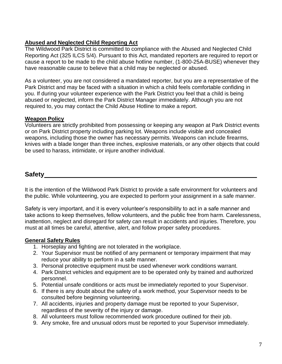# **Abused and Neglected Child Reporting Act**

The Wildwood Park District is committed to compliance with the Abused and Neglected Child Reporting Act (325 ILCS 5/4). Pursuant to this Act, mandated reporters are required to report or cause a report to be made to the child abuse hotline number, (1-800-25A-BUSE) whenever they have reasonable cause to believe that a child may be neglected or abused.

As a volunteer, you are not considered a mandated reporter, but you are a representative of the Park District and may be faced with a situation in which a child feels comfortable confiding in you. If during your volunteer experience with the Park District you feel that a child is being abused or neglected, inform the Park District Manager immediately. Although you are not required to, you may contact the Child Abuse Hotline to make a report.

## **Weapon Policy**

Volunteers are strictly prohibited from possessing or keeping any weapon at Park District events or on Park District property including parking lot. Weapons include visible and concealed weapons, including those the owner has necessary permits. Weapons can include firearms, knives with a blade longer than three inches, explosive materials, or any other objects that could be used to harass, intimidate, or injure another individual.

# **Safety**

It is the intention of the Wildwood Park District to provide a safe environment for volunteers and the public. While volunteering, you are expected to perform your assignment in a safe manner.

Safety is very important, and it is every volunteer's responsibility to act in a safe manner and take actions to keep themselves, fellow volunteers, and the public free from harm. Carelessness, inattention, neglect and disregard for safety can result in accidents and injuries. Therefore, you must at all times be careful, attentive, alert, and follow proper safety procedures.

# **General Safety Rules**

- 1. Horseplay and fighting are not tolerated in the workplace.
- 2. Your Supervisor must be notified of any permanent or temporary impairment that may reduce your ability to perform in a safe manner.
- 3. Personal protective equipment must be used whenever work conditions warrant.
- 4. Park District vehicles and equipment are to be operated only by trained and authorized personnel.
- 5. Potential unsafe conditions or acts must be immediately reported to your Supervisor.
- 6. If there is any doubt about the safety of a work method, your Supervisor needs to be consulted before beginning volunteering.
- 7. All accidents, injuries and property damage must be reported to your Supervisor, regardless of the severity of the injury or damage.
- 8. All volunteers must follow recommended work procedure outlined for their job.
- 9. Any smoke, fire and unusual odors must be reported to your Supervisor immediately.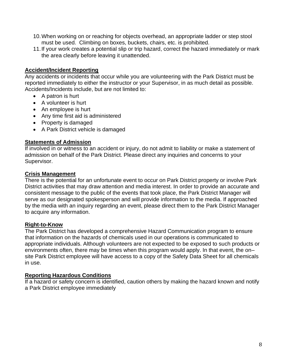- 10.When working on or reaching for objects overhead, an appropriate ladder or step stool must be used. Climbing on boxes, buckets, chairs, etc. is prohibited.
- 11.If your work creates a potential slip or trip hazard, correct the hazard immediately or mark the area clearly before leaving it unattended.

## **Accident/Incident Reporting**

Any accidents or incidents that occur while you are volunteering with the Park District must be reported immediately to either the instructor or your Supervisor, in as much detail as possible. Accidents/Incidents include, but are not limited to:

- A patron is hurt
- A volunteer is hurt
- An employee is hurt
- Any time first aid is administered
- Property is damaged
- A Park District vehicle is damaged

#### **Statements of Admission**

If involved in or witness to an accident or injury, do not admit to liability or make a statement of admission on behalf of the Park District. Please direct any inquiries and concerns to your Supervisor.

#### **Crisis Management**

There is the potential for an unfortunate event to occur on Park District property or involve Park District activities that may draw attention and media interest. In order to provide an accurate and consistent message to the public of the events that took place, the Park District Manager will serve as our designated spokesperson and will provide information to the media. If approached by the media with an inquiry regarding an event, please direct them to the Park District Manager to acquire any information.

#### **Right-to-Know**

The Park District has developed a comprehensive Hazard Communication program to ensure that information on the hazards of chemicals used in our operations is communicated to appropriate individuals. Although volunteers are not expected to be exposed to such products or environments often, there may be times when this program would apply. In that event, the on– site Park District employee will have access to a copy of the Safety Data Sheet for all chemicals in use.

#### **Reporting Hazardous Conditions**

If a hazard or safety concern is identified, caution others by making the hazard known and notify a Park District employee immediately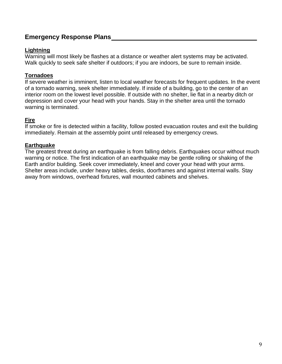# **Emergency Response Plans**

## **Lightning**

Warning will most likely be flashes at a distance or weather alert systems may be activated. Walk quickly to seek safe shelter if outdoors; if you are indoors, be sure to remain inside.

# **Tornadoes**

If severe weather is imminent, listen to local weather forecasts for frequent updates. In the event of a tornado warning, seek shelter immediately. If inside of a building, go to the center of an interior room on the lowest level possible. If outside with no shelter, lie flat in a nearby ditch or depression and cover your head with your hands. Stay in the shelter area until the tornado warning is terminated.

## **Fire**

If smoke or fire is detected within a facility, follow posted evacuation routes and exit the building immediately. Remain at the assembly point until released by emergency crews.

## **Earthquake**

The greatest threat during an earthquake is from falling debris. Earthquakes occur without much warning or notice. The first indication of an earthquake may be gentle rolling or shaking of the Earth and/or building. Seek cover immediately, kneel and cover your head with your arms. Shelter areas include, under heavy tables, desks, doorframes and against internal walls. Stay away from windows, overhead fixtures, wall mounted cabinets and shelves.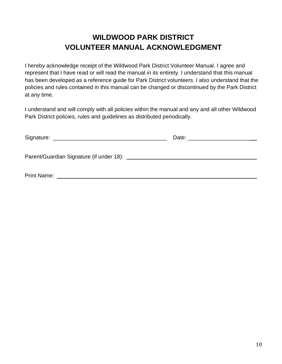# **WILDWOOD PARK DISTRICT VOLUNTEER MANUAL ACKNOWLEDGMENT**

I hereby acknowledge receipt of the Wildwood Park District Volunteer Manual. I agree and represent that I have read or will read the manual in its entirety. I understand that this manual has been developed as a reference guide for Park District volunteers. I also understand that the policies and rules contained in this manual can be changed or discontinued by the Park District at any time.

I understand and will comply with all policies within the manual and any and all other Wildwood Park District policies, rules and guidelines as distributed periodically.

| <b>Print Name:</b> |  |
|--------------------|--|